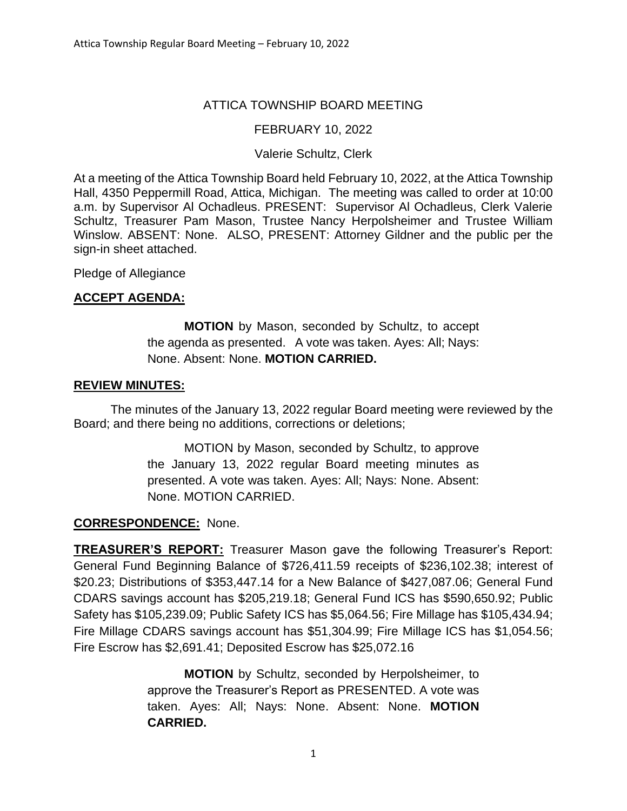# ATTICA TOWNSHIP BOARD MEETING

## FEBRUARY 10, 2022

#### Valerie Schultz, Clerk

At a meeting of the Attica Township Board held February 10, 2022, at the Attica Township Hall, 4350 Peppermill Road, Attica, Michigan. The meeting was called to order at 10:00 a.m. by Supervisor Al Ochadleus. PRESENT: Supervisor Al Ochadleus, Clerk Valerie Schultz, Treasurer Pam Mason, Trustee Nancy Herpolsheimer and Trustee William Winslow. ABSENT: None. ALSO, PRESENT: Attorney Gildner and the public per the sign-in sheet attached.

Pledge of Allegiance

## **ACCEPT AGENDA:**

**MOTION** by Mason, seconded by Schultz, to accept the agenda as presented. A vote was taken. Ayes: All; Nays: None. Absent: None. **MOTION CARRIED.**

#### **REVIEW MINUTES:**

The minutes of the January 13, 2022 regular Board meeting were reviewed by the Board; and there being no additions, corrections or deletions;

> MOTION by Mason, seconded by Schultz, to approve the January 13, 2022 regular Board meeting minutes as presented. A vote was taken. Ayes: All; Nays: None. Absent: None. MOTION CARRIED.

#### **CORRESPONDENCE:** None.

**TREASURER'S REPORT:** Treasurer Mason gave the following Treasurer's Report: General Fund Beginning Balance of \$726,411.59 receipts of \$236,102.38; interest of \$20.23; Distributions of \$353,447.14 for a New Balance of \$427,087.06; General Fund CDARS savings account has \$205,219.18; General Fund ICS has \$590,650.92; Public Safety has \$105,239.09; Public Safety ICS has \$5,064.56; Fire Millage has \$105,434.94; Fire Millage CDARS savings account has \$51,304.99; Fire Millage ICS has \$1,054.56; Fire Escrow has \$2,691.41; Deposited Escrow has \$25,072.16

> **MOTION** by Schultz, seconded by Herpolsheimer, to approve the Treasurer's Report as PRESENTED. A vote was taken. Ayes: All; Nays: None. Absent: None. **MOTION CARRIED.**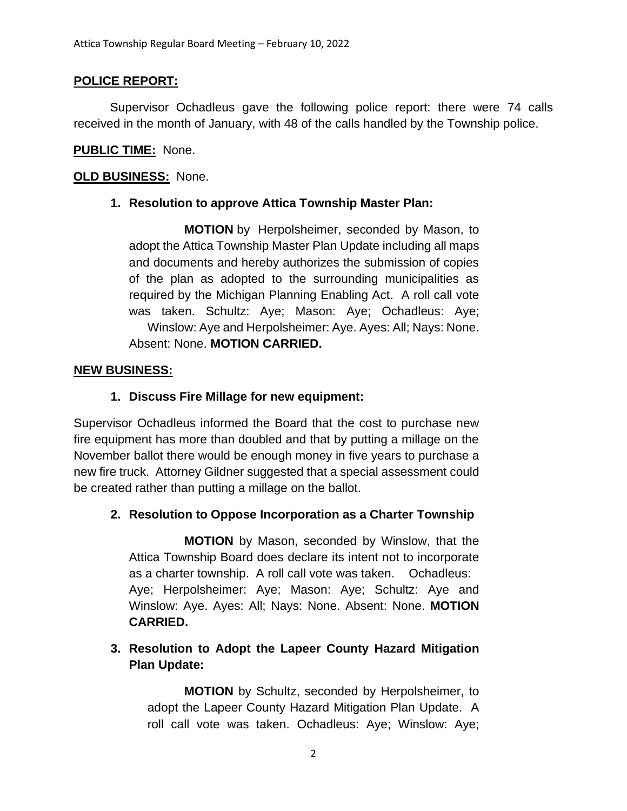## **POLICE REPORT:**

Supervisor Ochadleus gave the following police report: there were 74 calls received in the month of January, with 48 of the calls handled by the Township police.

## **PUBLIC TIME:** None.

## **OLD BUSINESS:** None.

## **1. Resolution to approve Attica Township Master Plan:**

**MOTION** by Herpolsheimer, seconded by Mason, to adopt the Attica Township Master Plan Update including all maps and documents and hereby authorizes the submission of copies of the plan as adopted to the surrounding municipalities as required by the Michigan Planning Enabling Act. A roll call vote was taken. Schultz: Aye; Mason: Aye; Ochadleus: Aye; Winslow: Aye and Herpolsheimer: Aye. Ayes: All; Nays: None. Absent: None. **MOTION CARRIED.**

#### **NEW BUSINESS:**

## **1. Discuss Fire Millage for new equipment:**

Supervisor Ochadleus informed the Board that the cost to purchase new fire equipment has more than doubled and that by putting a millage on the November ballot there would be enough money in five years to purchase a new fire truck. Attorney Gildner suggested that a special assessment could be created rather than putting a millage on the ballot.

## **2. Resolution to Oppose Incorporation as a Charter Township**

**MOTION** by Mason, seconded by Winslow, that the Attica Township Board does declare its intent not to incorporate as a charter township. A roll call vote was taken. Ochadleus: Aye; Herpolsheimer: Aye; Mason: Aye; Schultz: Aye and Winslow: Aye. Ayes: All; Nays: None. Absent: None. **MOTION CARRIED.**

# **3. Resolution to Adopt the Lapeer County Hazard Mitigation Plan Update:**

**MOTION** by Schultz, seconded by Herpolsheimer, to adopt the Lapeer County Hazard Mitigation Plan Update. A roll call vote was taken. Ochadleus: Aye; Winslow: Aye;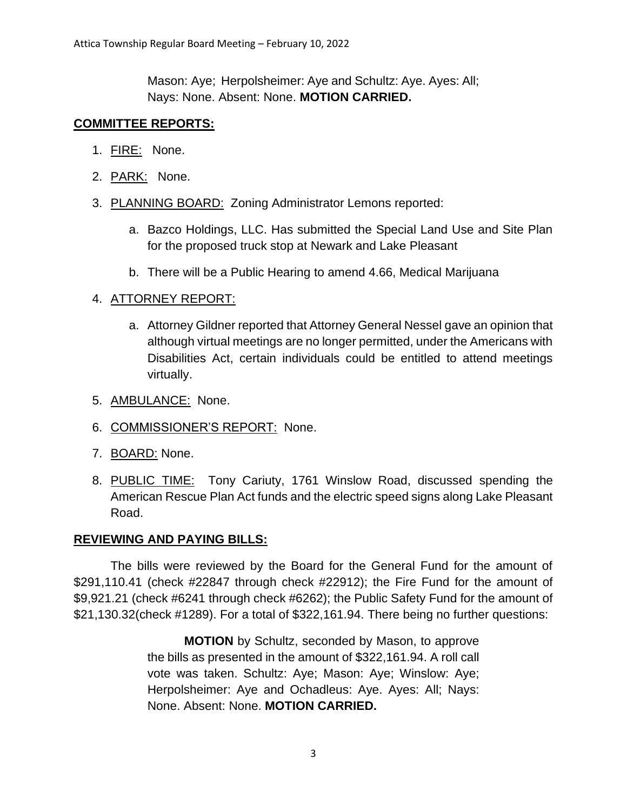Mason: Aye; Herpolsheimer: Aye and Schultz: Aye. Ayes: All; Nays: None. Absent: None. **MOTION CARRIED.**

#### **COMMITTEE REPORTS:**

- 1. FIRE: None.
- 2. PARK: None.
- 3. PLANNING BOARD: Zoning Administrator Lemons reported:
	- a. Bazco Holdings, LLC. Has submitted the Special Land Use and Site Plan for the proposed truck stop at Newark and Lake Pleasant
	- b. There will be a Public Hearing to amend 4.66, Medical Marijuana

#### 4. ATTORNEY REPORT:

- a. Attorney Gildner reported that Attorney General Nessel gave an opinion that although virtual meetings are no longer permitted, under the Americans with Disabilities Act, certain individuals could be entitled to attend meetings virtually.
- 5. AMBULANCE: None.
- 6. COMMISSIONER'S REPORT: None.
- 7. BOARD: None.
- 8. PUBLIC TIME: Tony Cariuty, 1761 Winslow Road, discussed spending the American Rescue Plan Act funds and the electric speed signs along Lake Pleasant Road.

#### **REVIEWING AND PAYING BILLS:**

The bills were reviewed by the Board for the General Fund for the amount of \$291,110.41 (check #22847 through check #22912); the Fire Fund for the amount of \$9,921.21 (check #6241 through check #6262); the Public Safety Fund for the amount of \$21,130.32(check #1289). For a total of \$322,161.94. There being no further questions:

> **MOTION** by Schultz, seconded by Mason, to approve the bills as presented in the amount of \$322,161.94. A roll call vote was taken. Schultz: Aye; Mason: Aye; Winslow: Aye; Herpolsheimer: Aye and Ochadleus: Aye. Ayes: All; Nays: None. Absent: None. **MOTION CARRIED.**